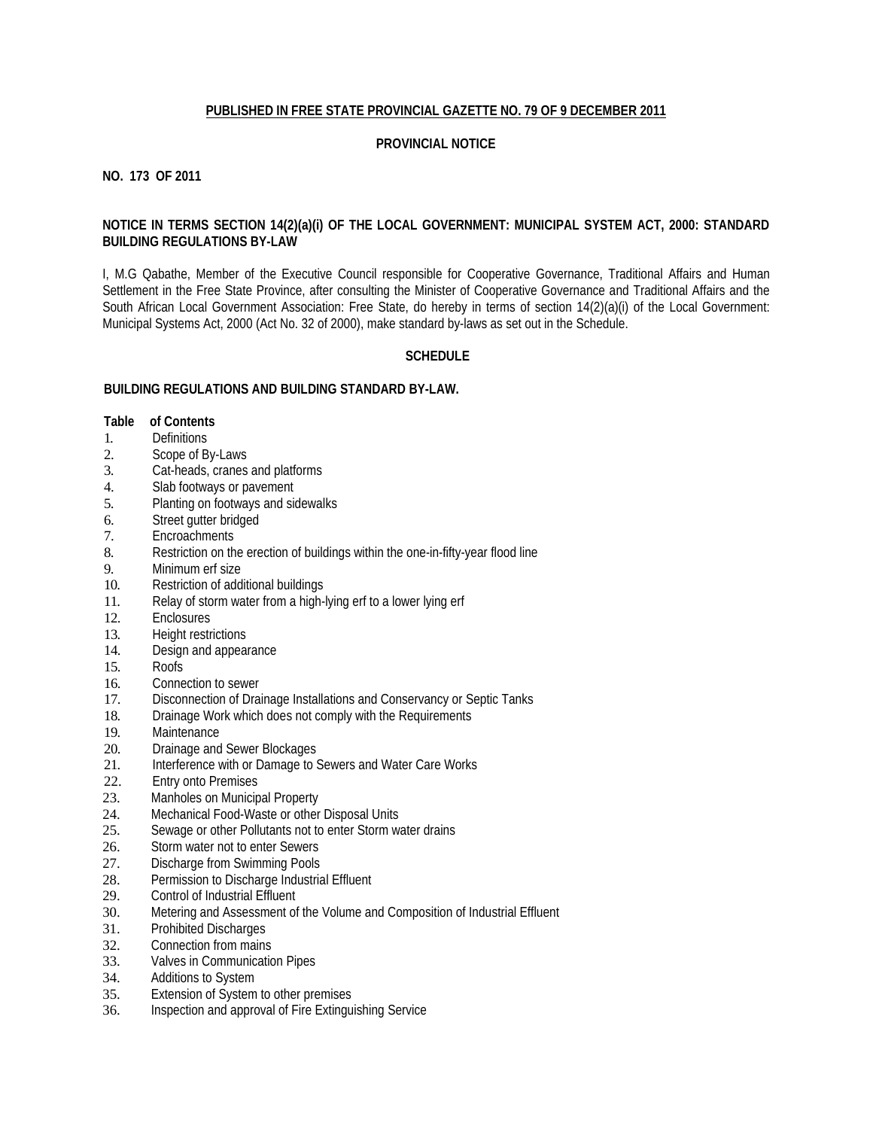## **PUBLISHED IN FREE STATE PROVINCIAL GAZETTE NO. 79 OF 9 DECEMBER 2011**

## **PROVINCIAL NOTICE**

## **NO. 173 OF 2011**

## **NOTICE IN TERMS SECTION 14(2)(a)(i) OF THE LOCAL GOVERNMENT: MUNICIPAL SYSTEM ACT, 2000: STANDARD BUILDING REGULATIONS BY-LAW**

I, M.G Qabathe, Member of the Executive Council responsible for Cooperative Governance, Traditional Affairs and Human Settlement in the Free State Province, after consulting the Minister of Cooperative Governance and Traditional Affairs and the South African Local Government Association: Free State, do hereby in terms of section 14(2)(a)(i) of the Local Government: Municipal Systems Act, 2000 (Act No. 32 of 2000), make standard by-laws as set out in the Schedule.

## **SCHEDULE**

## **BUILDING REGULATIONS AND BUILDING STANDARD BY-LAW.**

## **Table of Contents**

- 1. Definitions<br>2. Scope of B
- Scope of By-Laws
- 3. Cat-heads, cranes and platforms
- 4. Slab footways or pavement<br>5. Planting on footways and side
- 5. Planting on footways and sidewalks
- 6. Street gutter bridged
- 7. Encroachments
- 8. Restriction on the erection of buildings within the one-in-fifty-year flood line
- 9. Minimum erf size
- 10. Restriction of additional buildings
- 11. Relay of storm water from a high-lying erf to a lower lying erf
- 12. Enclosures
- 13. Height restrictions
- 14. Design and appearance<br>15. Roofs
- Roofs<sup>.</sup>
- 16. Connection to sewer
- 17. Disconnection of Drainage Installations and Conservancy or Septic Tanks
- 18. Drainage Work which does not comply with the Requirements
- 19. Maintenance
- 20. Drainage and Sewer Blockages
- 21. Interference with or Damage to Sewers and Water Care Works<br>22. Entry onto Premises
- **Entry onto Premises**
- 23. Manholes on Municipal Property
- 24. Mechanical Food-Waste or other Disposal Units<br>25. Sewage or other Pollutants not to enter Storm was
- Sewage or other Pollutants not to enter Storm water drains
- 26. Storm water not to enter Sewers
- 27. Discharge from Swimming Pools<br>28. Permission to Discharge Industria
- Permission to Discharge Industrial Effluent
- 29. Control of Industrial Effluent
- 30. Metering and Assessment of the Volume and Composition of Industrial Effluent
- 31. Prohibited Discharges
- 32. Connection from mains
- 33. Valves in Communication Pipes
- 34. Additions to System
- 35. Extension of System to other premises
- 36. Inspection and approval of Fire Extinguishing Service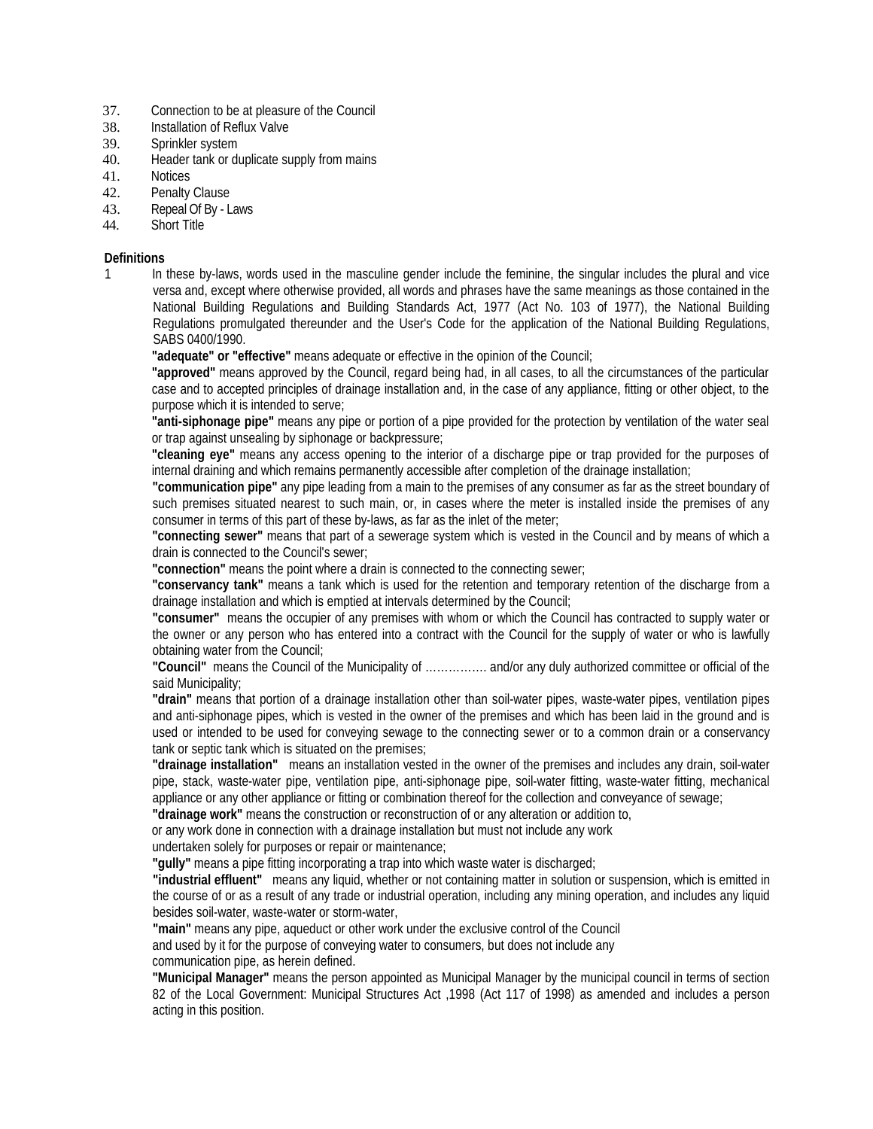- 37. Connection to be at pleasure of the Council
- 38. Installation of Reflux Valve
- 39. Sprinkler system
- 40. Header tank or duplicate supply from mains
- 41. Notices
- 42. Penalty Clause
- 43. Repeal Of By Laws
- 44. Short Title

### **Definitions**

1 In these by-laws, words used in the masculine gender include the feminine, the singular includes the plural and vice versa and, except where otherwise provided, all words and phrases have the same meanings as those contained in the National Building Regulations and Building Standards Act, 1977 (Act No. 103 of 1977), the National Building Regulations promulgated thereunder and the User's Code for the application of the National Building Regulations, SABS 0400/1990.

**"adequate" or "effective"** means adequate or effective in the opinion of the Council;

**"approved"** means approved by the Council, regard being had, in all cases, to all the circumstances of the particular case and to accepted principles of drainage installation and, in the case of any appliance, fitting or other object, to the purpose which it is intended to serve;

**"anti-siphonage pipe"** means any pipe or portion of a pipe provided for the protection by ventilation of the water seal or trap against unsealing by siphonage or backpressure;

**"cleaning eye"** means any access opening to the interior of a discharge pipe or trap provided for the purposes of internal draining and which remains permanently accessible after completion of the drainage installation;

**"communication pipe"** any pipe leading from a main to the premises of any consumer as far as the street boundary of such premises situated nearest to such main, or, in cases where the meter is installed inside the premises of any consumer in terms of this part of these by-laws, as far as the inlet of the meter;

**"connecting sewer"** means that part of a sewerage system which is vested in the Council and by means of which a drain is connected to the Council's sewer;

**"connection"** means the point where a drain is connected to the connecting sewer;

**"conservancy tank"** means a tank which is used for the retention and temporary retention of the discharge from a drainage installation and which is emptied at intervals determined by the Council;

**"consumer"** means the occupier of any premises with whom or which the Council has contracted to supply water or the owner or any person who has entered into a contract with the Council for the supply of water or who is lawfully obtaining water from the Council;

**"Council"** means the Council of the Municipality of ……………. and/or any duly authorized committee or official of the said Municipality;

**"drain"** means that portion of a drainage installation other than soil-water pipes, waste-water pipes, ventilation pipes and anti-siphonage pipes, which is vested in the owner of the premises and which has been laid in the ground and is used or intended to be used for conveying sewage to the connecting sewer or to a common drain or a conservancy tank or septic tank which is situated on the premises;

**"drainage installation"** means an installation vested in the owner of the premises and includes any drain, soil-water pipe, stack, waste-water pipe, ventilation pipe, anti-siphonage pipe, soil-water fitting, waste-water fitting, mechanical appliance or any other appliance or fitting or combination thereof for the collection and conveyance of sewage;

**"drainage work"** means the construction or reconstruction of or any alteration or addition to,

or any work done in connection with a drainage installation but must not include any work

undertaken solely for purposes or repair or maintenance;

**"gully"** means a pipe fitting incorporating a trap into which waste water is discharged;

**"industrial effluent"** means any liquid, whether or not containing matter in solution or suspension, which is emitted in the course of or as a result of any trade or industrial operation, including any mining operation, and includes any liquid besides soil-water, waste-water or storm-water,

**"main"** means any pipe, aqueduct or other work under the exclusive control of the Council and used by it for the purpose of conveying water to consumers, but does not include any communication pipe, as herein defined.

**"Municipal Manager"** means the person appointed as Municipal Manager by the municipal council in terms of section 82 of the Local Government: Municipal Structures Act ,1998 (Act 117 of 1998) as amended and includes a person acting in this position.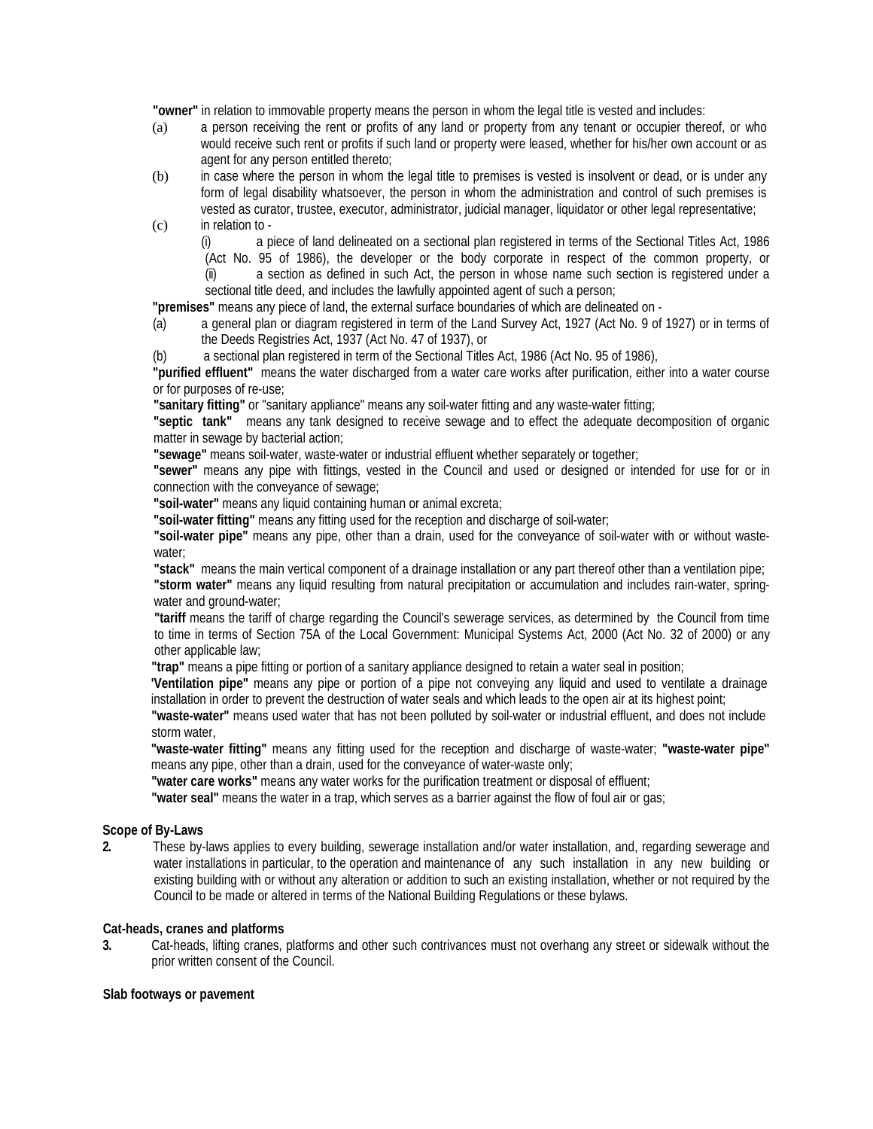**"owner"** in relation to immovable property means the person in whom the legal title is vested and includes:

- (a) a person receiving the rent or profits of any land or property from any tenant or occupier thereof, or who would receive such rent or profits if such land or property were leased, whether for his/her own account or as agent for any person entitled thereto;
- (b) in case where the person in whom the legal title to premises is vested is insolvent or dead, or is under any form of legal disability whatsoever, the person in whom the administration and control of such premises is vested as curator, trustee, executor, administrator, judicial manager, liquidator or other legal representative;
- (c) in relation to -

(i) a piece of land delineated on a sectional plan registered in terms of the Sectional Titles Act, 1986 (Act No. 95 of 1986), the developer or the body corporate in respect of the common property, or (ii) a section as defined in such Act, the person in whose name such section is registered under a sectional title deed, and includes the lawfully appointed agent of such a person;

**"premises"** means any piece of land, the external surface boundaries of which are delineated on -

(a) a general plan or diagram registered in term of the Land Survey Act, 1927 (Act No. 9 of 1927) or in terms of the Deeds Registries Act, 1937 (Act No. 47 of 1937), or

(b) a sectional plan registered in term of the Sectional Titles Act, 1986 (Act No. 95 of 1986),

**"purified effluent"** means the water discharged from a water care works after purification, either into a water course or for purposes of re-use;

**"sanitary fitting"** or "sanitary appliance" means any soil-water fitting and any waste-water fitting;

**"septic tank"** means any tank designed to receive sewage and to effect the adequate decomposition of organic matter in sewage by bacterial action;

**"sewage"** means soil-water, waste-water or industrial effluent whether separately or together;

**"sewer"** means any pipe with fittings, vested in the Council and used or designed or intended for use for or in connection with the conveyance of sewage;

**"soil-water"** means any liquid containing human or animal excreta;

**"soil-water fitting"** means any fitting used for the reception and discharge of soil-water;

**"soil-water pipe"** means any pipe, other than a drain, used for the conveyance of soil-water with or without wastewater;

**"stack"** means the main vertical component of a drainage installation or any part thereof other than a ventilation pipe;

**"storm water"** means any liquid resulting from natural precipitation or accumulation and includes rain-water, springwater and ground-water;

**"tariff** means the tariff of charge regarding the Council's sewerage services, as determined by the Council from time to time in terms of Section 75A of the Local Government: Municipal Systems Act, 2000 (Act No. 32 of 2000) or any other applicable law;

**"trap"** means a pipe fitting or portion of a sanitary appliance designed to retain a water seal in position;

**'Ventilation pipe"** means any pipe or portion of a pipe not conveying any liquid and used to ventilate a drainage installation in order to prevent the destruction of water seals and which leads to the open air at its highest point;

**"waste-water"** means used water that has not been polluted by soil-water or industrial effluent, and does not include storm water,

**"waste-water fitting"** means any fitting used for the reception and discharge of waste-water; **"waste-water pipe"**  means any pipe, other than a drain, used for the conveyance of water-waste only;

**"water care works"** means any water works for the purification treatment or disposal of effluent;

**"water seal"** means the water in a trap, which serves as a barrier against the flow of foul air or gas;

## **Scope of By-Laws**

**2.** These by-laws applies to every building, sewerage installation and/or water installation, and, regarding sewerage and water installations in particular, to the operation and maintenance of any such installation in any new building or existing building with or without any alteration or addition to such an existing installation, whether or not required by the Council to be made or altered in terms of the National Building Regulations or these bylaws.

## **Cat-heads, cranes and platforms**

**3.** Cat-heads, lifting cranes, platforms and other such contrivances must not overhang any street or sidewalk without the prior written consent of the Council.

#### **Slab footways or pavement**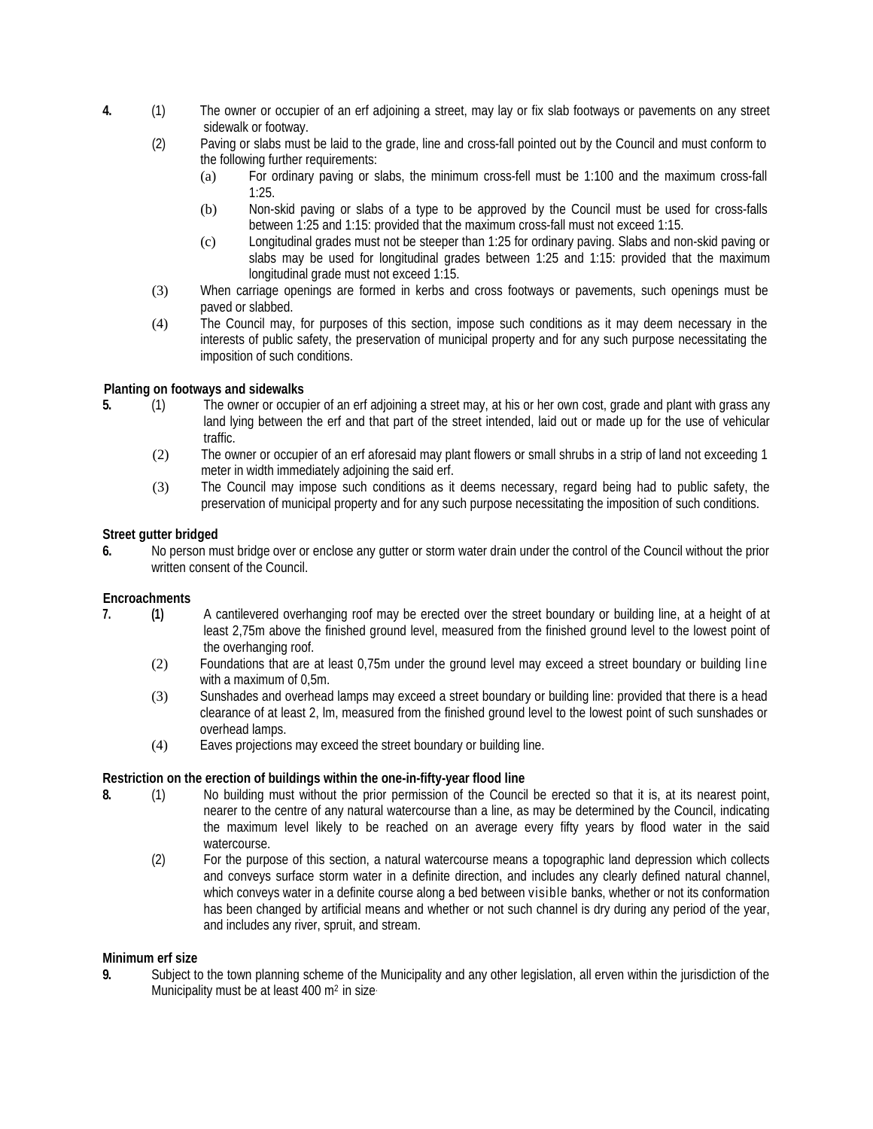- **4.** (1) The owner or occupier of an erf adjoining a street, may lay or fix slab footways or pavements on any street sidewalk or footway.
	- (2) Paving or slabs must be laid to the grade, line and cross-fall pointed out by the Council and must conform to the following further requirements:
		- (a) For ordinary paving or slabs, the minimum cross-fell must be 1:100 and the maximum cross-fall 1:25.
		- (b) Non-skid paving or slabs of a type to be approved by the Council must be used for cross-falls between 1:25 and 1:15: provided that the maximum cross-fall must not exceed 1:15.
		- (c) Longitudinal grades must not be steeper than 1:25 for ordinary paving. Slabs and non-skid paving or slabs may be used for longitudinal grades between 1:25 and 1:15: provided that the maximum longitudinal grade must not exceed 1:15.
	- (3) When carriage openings are formed in kerbs and cross footways or pavements, such openings must be paved or slabbed.
	- (4) The Council may, for purposes of this section, impose such conditions as it may deem necessary in the interests of public safety, the preservation of municipal property and for any such purpose necessitating the imposition of such conditions.

## **Planting on footways and sidewalks**

- **5.** (1) The owner or occupier of an erf adjoining a street may, at his or her own cost, grade and plant with grass any land lying between the erf and that part of the street intended, laid out or made up for the use of vehicular traffic.
	- (2) The owner or occupier of an erf aforesaid may plant flowers or small shrubs in a strip of land not exceeding 1 meter in width immediately adjoining the said erf.
	- (3) The Council may impose such conditions as it deems necessary, regard being had to public safety, the preservation of municipal property and for any such purpose necessitating the imposition of such conditions.

## **Street gutter bridged**

**6.** No person must bridge over or enclose any gutter or storm water drain under the control of the Council without the prior written consent of the Council.

## **Encroachments**

- **7. (1)** A cantilevered overhanging roof may be erected over the street boundary or building line, at a height of at least 2,75m above the finished ground level, measured from the finished ground level to the lowest point of the overhanging roof.
	- (2) Foundations that are at least 0,75m under the ground level may exceed a street boundary or building line with a maximum of 0,5m.
	- (3) Sunshades and overhead lamps may exceed a street boundary or building line: provided that there is a head clearance of at least 2, lm, measured from the finished ground level to the lowest point of such sunshades or overhead lamps.
	- (4) Eaves projections may exceed the street boundary or building line.

## **Restriction on the erection of buildings within the one-in-fifty-year flood line**

- **8.** (1) No building must without the prior permission of the Council be erected so that it is, at its nearest point, nearer to the centre of any natural watercourse than a line, as may be determined by the Council, indicating the maximum level likely to be reached on an average every fifty years by flood water in the said watercourse.
	- (2) For the purpose of this section, a natural watercourse means a topographic land depression which collects and conveys surface storm water in a definite direction, and includes any clearly defined natural channel, which conveys water in a definite course along a bed between visible banks, whether or not its conformation has been changed by artificial means and whether or not such channel is dry during any period of the year, and includes any river, spruit, and stream.

## **Minimum erf size**

**9.** Subject to the town planning scheme of the Municipality and any other legislation, all erven within the jurisdiction of the Municipality must be at least 400 m<sup>2</sup> in size.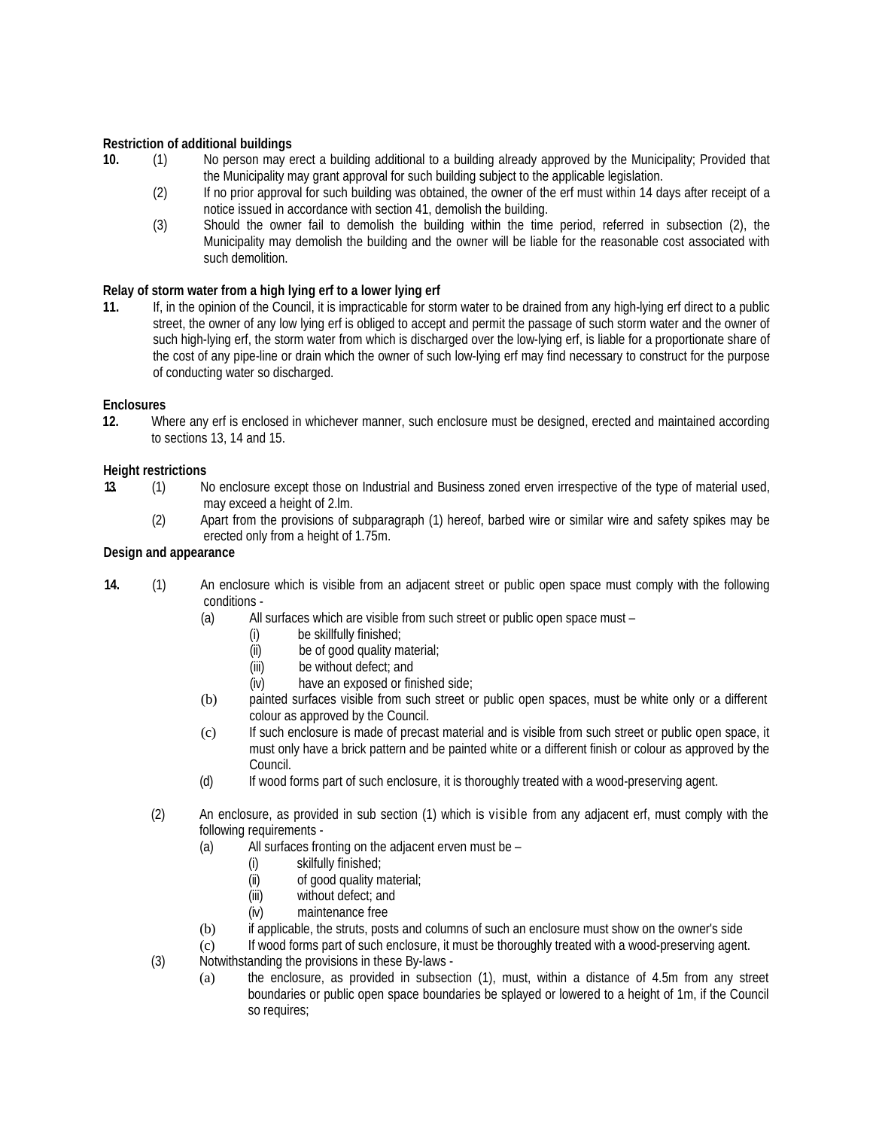## **Restriction of additional buildings**

- **10.** (1) No person may erect a building additional to a building already approved by the Municipality; Provided that the Municipality may grant approval for such building subject to the applicable legislation.
	- (2) If no prior approval for such building was obtained, the owner of the erf must within 14 days after receipt of a notice issued in accordance with section 41, demolish the building.
	- (3) Should the owner fail to demolish the building within the time period, referred in subsection (2), the Municipality may demolish the building and the owner will be liable for the reasonable cost associated with such demolition.

## **Relay of storm water from a high lying erf to a lower lying erf**

**11.** If, in the opinion of the Council, it is impracticable for storm water to be drained from any high-lying erf direct to a public street, the owner of any low lying erf is obliged to accept and permit the passage of such storm water and the owner of such high-lying erf, the storm water from which is discharged over the low-lying erf, is liable for a proportionate share of the cost of any pipe-line or drain which the owner of such low-lying erf may find necessary to construct for the purpose of conducting water so discharged.

## **Enclosures**

**12.** Where any erf is enclosed in whichever manner, such enclosure must be designed, erected and maintained according to sections 13, 14 and 15.

## **Height restrictions**

- **13.** (1) No enclosure except those on Industrial and Business zoned erven irrespective of the type of material used, may exceed a height of 2.lm.
	- (2) Apart from the provisions of subparagraph (1) hereof, barbed wire or similar wire and safety spikes may be erected only from a height of 1.75m.

## **Design and appearance**

- **14.** (1) An enclosure which is visible from an adjacent street or public open space must comply with the following conditions -
	- (a) All surfaces which are visible from such street or public open space must
		- (i) be skillfully finished;
		- $(ii)$  be of good quality material;<br> $(iii)$  be without defect: and
		- (iii) be without defect; and<br>(iv) have an exposed or fin
		- have an exposed or finished side;
	- (b) painted surfaces visible from such street or public open spaces, must be white only or a different colour as approved by the Council.
	- (c) If such enclosure is made of precast material and is visible from such street or public open space, it must only have a brick pattern and be painted white or a different finish or colour as approved by the Council.
	- (d) If wood forms part of such enclosure, it is thoroughly treated with a wood-preserving agent.
	- (2) An enclosure, as provided in sub section (1) which is visible from any adjacent erf, must comply with the following requirements -
		- (a) All surfaces fronting on the adjacent erven must be
			- (i) skilfully finished;<br>(ii) of good quality m
			- of good quality material;
			- (iii) without defect; and
			- (iv) maintenance free
		- (b) if applicable, the struts, posts and columns of such an enclosure must show on the owner's side
		- (c) If wood forms part of such enclosure, it must be thoroughly treated with a wood-preserving agent.
	- (3) Notwithstanding the provisions in these By-laws
		- (a) the enclosure, as provided in subsection (1), must, within a distance of 4.5m from any street boundaries or public open space boundaries be splayed or lowered to a height of 1m, if the Council so requires;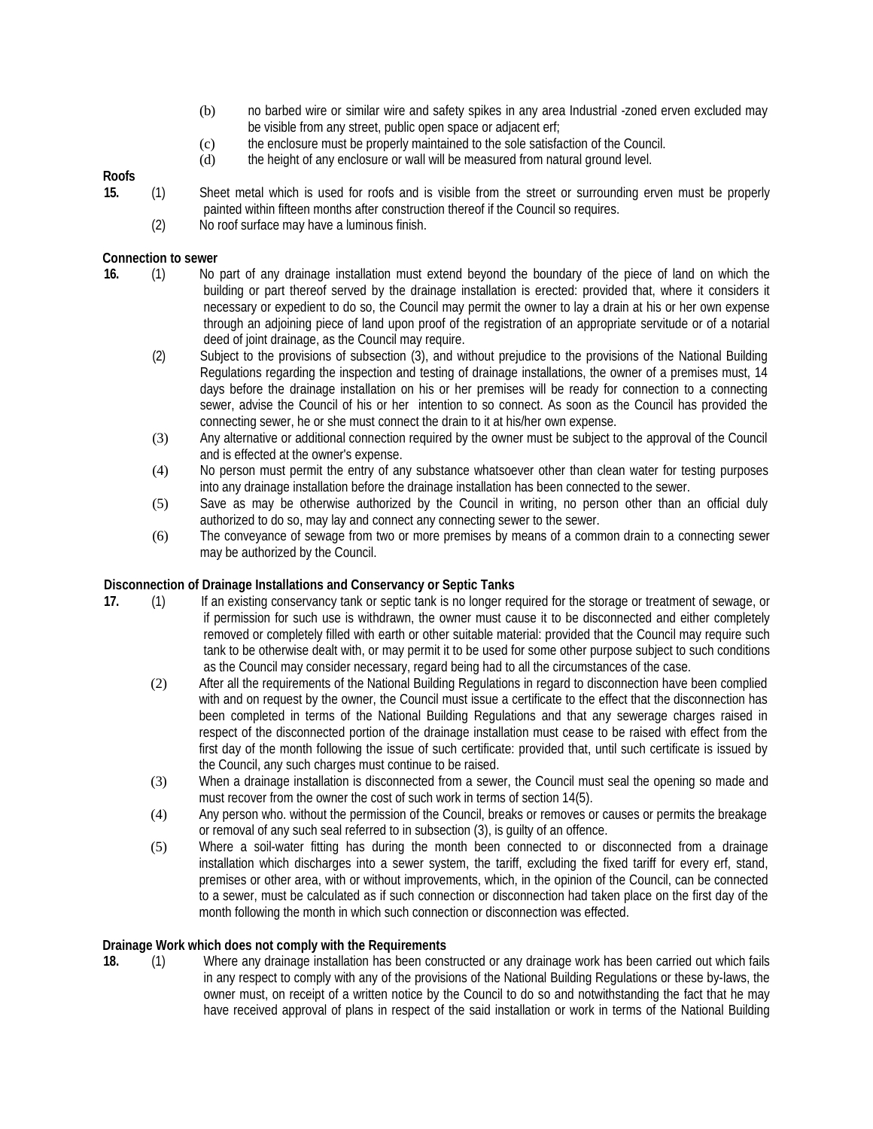- (b) no barbed wire or similar wire and safety spikes in any area Industrial -zoned erven excluded may be visible from any street, public open space or adjacent erf;
- (c) the enclosure must be properly maintained to the sole satisfaction of the Council.
- (d) the height of any enclosure or wall will be measured from natural ground level.

# **Roofs**

- **15.** (1) Sheet metal which is used for roofs and is visible from the street or surrounding erven must be properly painted within fifteen months after construction thereof if the Council so requires.
	- (2) No roof surface may have a luminous finish.

## **Connection to sewer**

- **16.** (1) No part of any drainage installation must extend beyond the boundary of the piece of land on which the building or part thereof served by the drainage installation is erected: provided that, where it considers it necessary or expedient to do so, the Council may permit the owner to lay a drain at his or her own expense through an adjoining piece of land upon proof of the registration of an appropriate servitude or of a notarial deed of joint drainage, as the Council may require.
	- (2) Subject to the provisions of subsection (3), and without prejudice to the provisions of the National Building Regulations regarding the inspection and testing of drainage installations, the owner of a premises must, 14 days before the drainage installation on his or her premises will be ready for connection to a connecting sewer, advise the Council of his or her intention to so connect. As soon as the Council has provided the connecting sewer, he or she must connect the drain to it at his/her own expense.
	- (3) Any alternative or additional connection required by the owner must be subject to the approval of the Council and is effected at the owner's expense.
	- (4) No person must permit the entry of any substance whatsoever other than clean water for testing purposes into any drainage installation before the drainage installation has been connected to the sewer.
	- (5) Save as may be otherwise authorized by the Council in writing, no person other than an official duly authorized to do so, may lay and connect any connecting sewer to the sewer.
	- (6) The conveyance of sewage from two or more premises by means of a common drain to a connecting sewer may be authorized by the Council.

## **Disconnection of Drainage Installations and Conservancy or Septic Tanks**

- **17.** (1) If an existing conservancy tank or septic tank is no longer required for the storage or treatment of sewage, or if permission for such use is withdrawn, the owner must cause it to be disconnected and either completely removed or completely filled with earth or other suitable material: provided that the Council may require such tank to be otherwise dealt with, or may permit it to be used for some other purpose subject to such conditions as the Council may consider necessary, regard being had to all the circumstances of the case.
	- (2) After all the requirements of the National Building Regulations in regard to disconnection have been complied with and on request by the owner, the Council must issue a certificate to the effect that the disconnection has been completed in terms of the National Building Regulations and that any sewerage charges raised in respect of the disconnected portion of the drainage installation must cease to be raised with effect from the first day of the month following the issue of such certificate: provided that, until such certificate is issued by the Council, any such charges must continue to be raised.
	- (3) When a drainage installation is disconnected from a sewer, the Council must seal the opening so made and must recover from the owner the cost of such work in terms of section 14(5).
	- (4) Any person who. without the permission of the Council, breaks or removes or causes or permits the breakage or removal of any such seal referred to in subsection (3), is guilty of an offence.
	- (5) Where a soil-water fitting has during the month been connected to or disconnected from a drainage installation which discharges into a sewer system, the tariff, excluding the fixed tariff for every erf, stand, premises or other area, with or without improvements, which, in the opinion of the Council, can be connected to a sewer, must be calculated as if such connection or disconnection had taken place on the first day of the month following the month in which such connection or disconnection was effected.

## **Drainage Work which does not comply with the Requirements**

**18.** (1) Where any drainage installation has been constructed or any drainage work has been carried out which fails in any respect to comply with any of the provisions of the National Building Regulations or these by-laws, the owner must, on receipt of a written notice by the Council to do so and notwithstanding the fact that he may have received approval of plans in respect of the said installation or work in terms of the National Building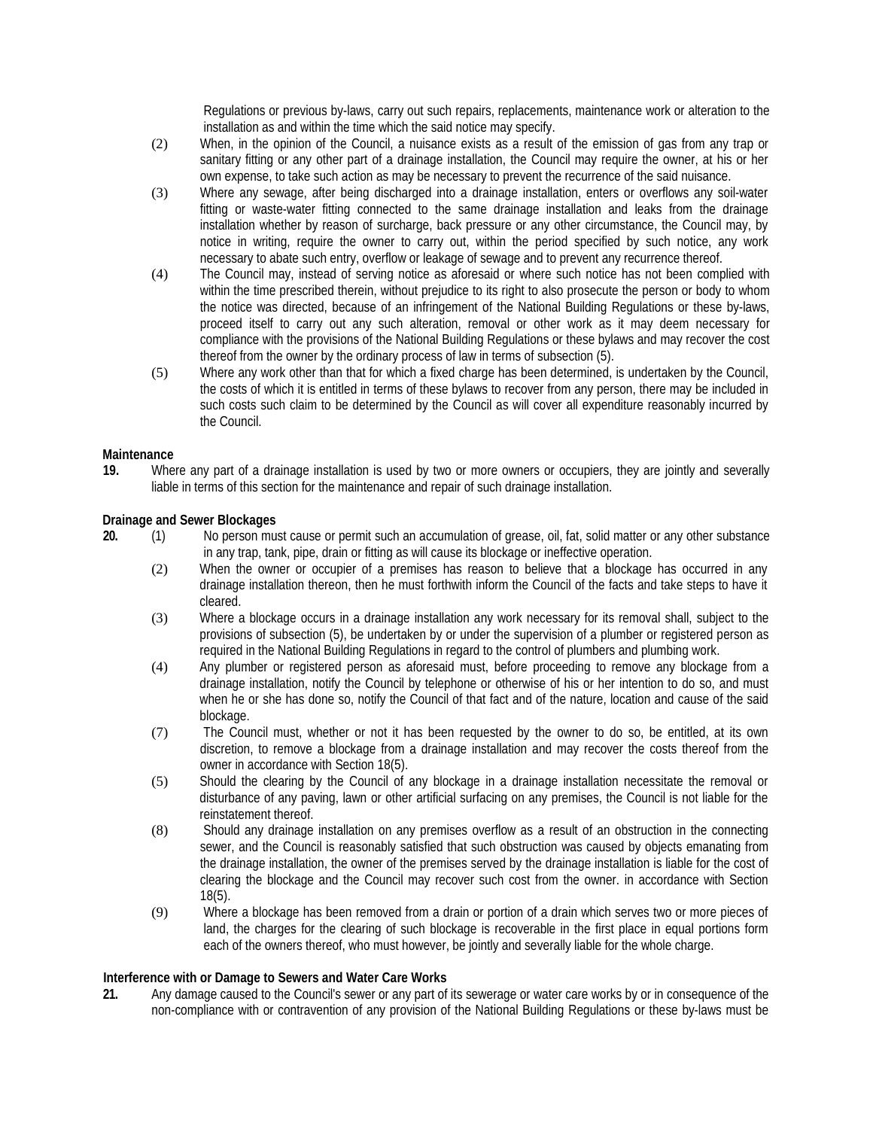Regulations or previous by-laws, carry out such repairs, replacements, maintenance work or alteration to the installation as and within the time which the said notice may specify.

- (2) When, in the opinion of the Council, a nuisance exists as a result of the emission of gas from any trap or sanitary fitting or any other part of a drainage installation, the Council may require the owner, at his or her own expense, to take such action as may be necessary to prevent the recurrence of the said nuisance.
- (3) Where any sewage, after being discharged into a drainage installation, enters or overflows any soil-water fitting or waste-water fitting connected to the same drainage installation and leaks from the drainage installation whether by reason of surcharge, back pressure or any other circumstance, the Council may, by notice in writing, require the owner to carry out, within the period specified by such notice, any work necessary to abate such entry, overflow or leakage of sewage and to prevent any recurrence thereof.
- (4) The Council may, instead of serving notice as aforesaid or where such notice has not been complied with within the time prescribed therein, without prejudice to its right to also prosecute the person or body to whom the notice was directed, because of an infringement of the National Building Regulations or these by-laws, proceed itself to carry out any such alteration, removal or other work as it may deem necessary for compliance with the provisions of the National Building Regulations or these bylaws and may recover the cost thereof from the owner by the ordinary process of law in terms of subsection (5).
- (5) Where any work other than that for which a fixed charge has been determined, is undertaken by the Council, the costs of which it is entitled in terms of these bylaws to recover from any person, there may be included in such costs such claim to be determined by the Council as will cover all expenditure reasonably incurred by the Council.

## **Maintenance**

**19.** Where any part of a drainage installation is used by two or more owners or occupiers, they are jointly and severally liable in terms of this section for the maintenance and repair of such drainage installation.

#### **Drainage and Sewer Blockages**

- **20.** (1) No person must cause or permit such an accumulation of grease, oil, fat, solid matter or any other substance in any trap, tank, pipe, drain or fitting as will cause its blockage or ineffective operation.
	- (2) When the owner or occupier of a premises has reason to believe that a blockage has occurred in any drainage installation thereon, then he must forthwith inform the Council of the facts and take steps to have it cleared.
	- (3) Where a blockage occurs in a drainage installation any work necessary for its removal shall, subject to the provisions of subsection (5), be undertaken by or under the supervision of a plumber or registered person as required in the National Building Regulations in regard to the control of plumbers and plumbing work.
	- (4) Any plumber or registered person as aforesaid must, before proceeding to remove any blockage from a drainage installation, notify the Council by telephone or otherwise of his or her intention to do so, and must when he or she has done so, notify the Council of that fact and of the nature, location and cause of the said blockage.
	- (7) The Council must, whether or not it has been requested by the owner to do so, be entitled, at its own discretion, to remove a blockage from a drainage installation and may recover the costs thereof from the owner in accordance with Section 18(5).
	- (5) Should the clearing by the Council of any blockage in a drainage installation necessitate the removal or disturbance of any paving, lawn or other artificial surfacing on any premises, the Council is not liable for the reinstatement thereof.
	- (8) Should any drainage installation on any premises overflow as a result of an obstruction in the connecting sewer, and the Council is reasonably satisfied that such obstruction was caused by objects emanating from the drainage installation, the owner of the premises served by the drainage installation is liable for the cost of clearing the blockage and the Council may recover such cost from the owner. in accordance with Section 18(5).
	- (9) Where a blockage has been removed from a drain or portion of a drain which serves two or more pieces of land, the charges for the clearing of such blockage is recoverable in the first place in equal portions form each of the owners thereof, who must however, be jointly and severally liable for the whole charge.

## **Interference with or Damage to Sewers and Water Care Works**

**21.** Any damage caused to the Council's sewer or any part of its sewerage or water care works by or in consequence of the non-compliance with or contravention of any provision of the National Building Regulations or these by-laws must be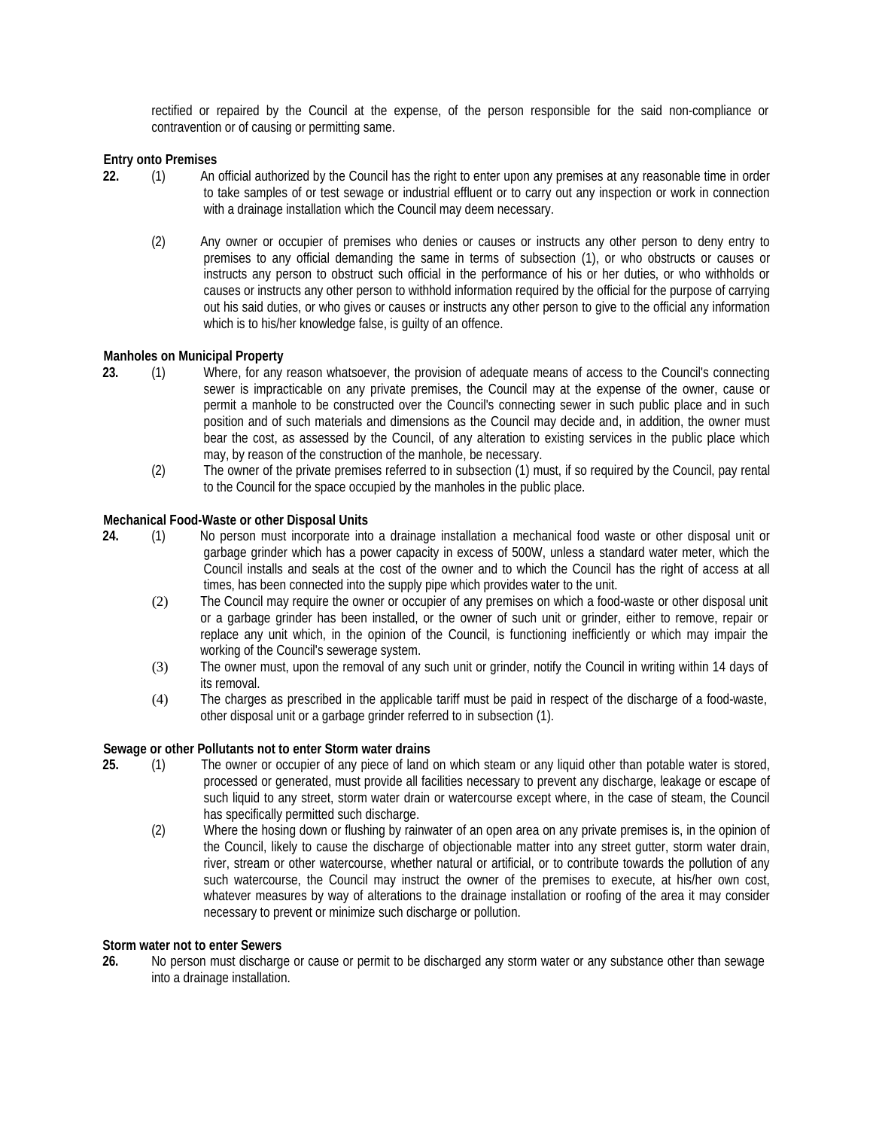rectified or repaired by the Council at the expense, of the person responsible for the said non-compliance or contravention or of causing or permitting same.

### **Entry onto Premises**

- **22.** (1) An official authorized by the Council has the right to enter upon any premises at any reasonable time in order to take samples of or test sewage or industrial effluent or to carry out any inspection or work in connection with a drainage installation which the Council may deem necessary.
	- (2) Any owner or occupier of premises who denies or causes or instructs any other person to deny entry to premises to any official demanding the same in terms of subsection (1), or who obstructs or causes or instructs any person to obstruct such official in the performance of his or her duties, or who withholds or causes or instructs any other person to withhold information required by the official for the purpose of carrying out his said duties, or who gives or causes or instructs any other person to give to the official any information which is to his/her knowledge false, is guilty of an offence.

#### **Manholes on Municipal Property**

- **23.** (1) Where, for any reason whatsoever, the provision of adequate means of access to the Council's connecting sewer is impracticable on any private premises, the Council may at the expense of the owner, cause or permit a manhole to be constructed over the Council's connecting sewer in such public place and in such position and of such materials and dimensions as the Council may decide and, in addition, the owner must bear the cost, as assessed by the Council, of any alteration to existing services in the public place which may, by reason of the construction of the manhole, be necessary.
	- (2) The owner of the private premises referred to in subsection (1) must, if so required by the Council, pay rental to the Council for the space occupied by the manholes in the public place.

#### **Mechanical Food-Waste or other Disposal Units**

- **24.** (1) No person must incorporate into a drainage installation a mechanical food waste or other disposal unit or garbage grinder which has a power capacity in excess of 500W, unless a standard water meter, which the Council installs and seals at the cost of the owner and to which the Council has the right of access at all times, has been connected into the supply pipe which provides water to the unit.
	- (2) The Council may require the owner or occupier of any premises on which a food-waste or other disposal unit or a garbage grinder has been installed, or the owner of such unit or grinder, either to remove, repair or replace any unit which, in the opinion of the Council, is functioning inefficiently or which may impair the working of the Council's sewerage system.
	- (3) The owner must, upon the removal of any such unit or grinder, notify the Council in writing within 14 days of its removal.
	- (4) The charges as prescribed in the applicable tariff must be paid in respect of the discharge of a food-waste, other disposal unit or a garbage grinder referred to in subsection (1).

#### **Sewage or other Pollutants not to enter Storm water drains**

- **25.** (1) The owner or occupier of any piece of land on which steam or any liquid other than potable water is stored, processed or generated, must provide all facilities necessary to prevent any discharge, leakage or escape of such liquid to any street, storm water drain or watercourse except where, in the case of steam, the Council has specifically permitted such discharge.
	- (2) Where the hosing down or flushing by rainwater of an open area on any private premises is, in the opinion of the Council, likely to cause the discharge of objectionable matter into any street gutter, storm water drain, river, stream or other watercourse, whether natural or artificial, or to contribute towards the pollution of any such watercourse, the Council may instruct the owner of the premises to execute, at his/her own cost, whatever measures by way of alterations to the drainage installation or roofing of the area it may consider necessary to prevent or minimize such discharge or pollution.

#### **Storm water not to enter Sewers**

**26.** No person must discharge or cause or permit to be discharged any storm water or any substance other than sewage into a drainage installation.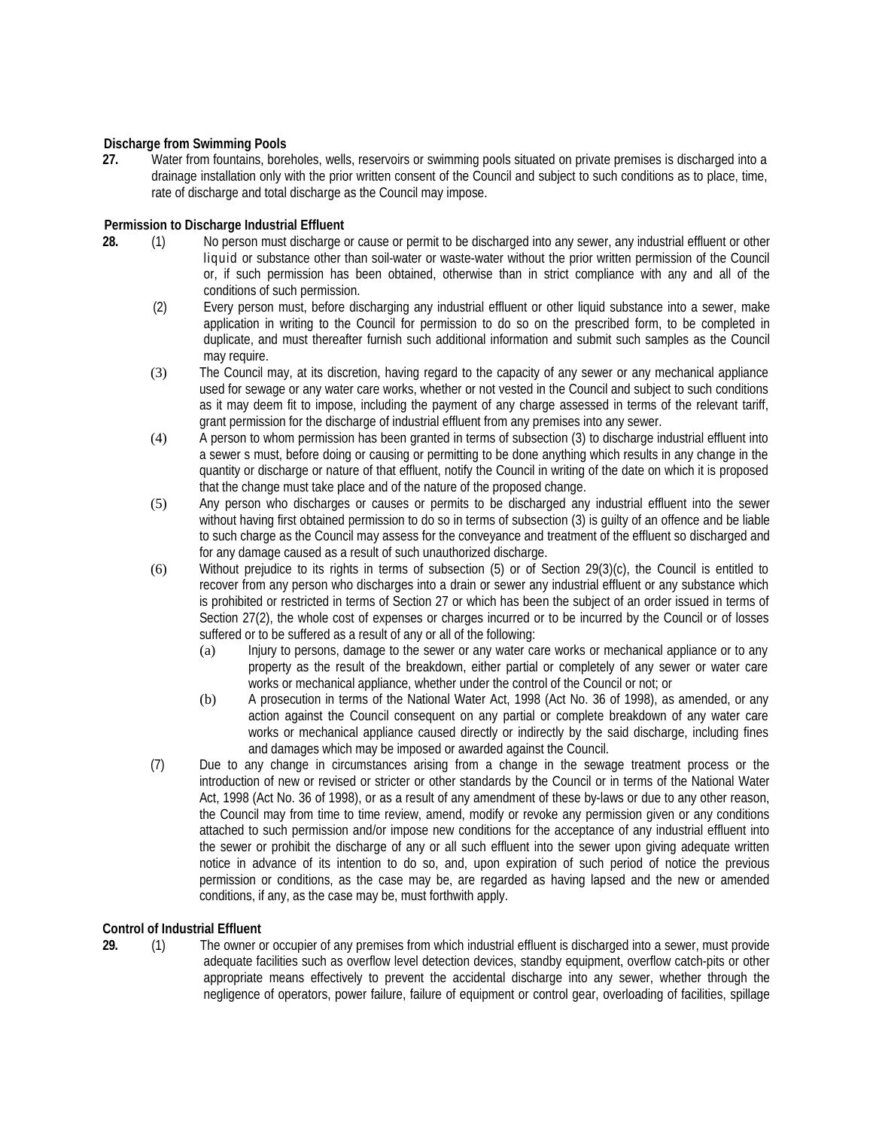## **Discharge from Swimming Pools**

**27.** Water from fountains, boreholes, wells, reservoirs or swimming pools situated on private premises is discharged into a drainage installation only with the prior written consent of the Council and subject to such conditions as to place, time, rate of discharge and total discharge as the Council may impose.

## **Permission to Discharge Industrial Effluent**

- **28.** (1) No person must discharge or cause or permit to be discharged into any sewer, any industrial effluent or other liquid or substance other than soil-water or waste-water without the prior written permission of the Council or, if such permission has been obtained, otherwise than in strict compliance with any and all of the conditions of such permission.
	- (2) Every person must, before discharging any industrial effluent or other liquid substance into a sewer, make application in writing to the Council for permission to do so on the prescribed form, to be completed in duplicate, and must thereafter furnish such additional information and submit such samples as the Council may require.
	- (3) The Council may, at its discretion, having regard to the capacity of any sewer or any mechanical appliance used for sewage or any water care works, whether or not vested in the Council and subject to such conditions as it may deem fit to impose, including the payment of any charge assessed in terms of the relevant tariff, grant permission for the discharge of industrial effluent from any premises into any sewer.
	- (4) A person to whom permission has been granted in terms of subsection (3) to discharge industrial effluent into a sewer s must, before doing or causing or permitting to be done anything which results in any change in the quantity or discharge or nature of that effluent, notify the Council in writing of the date on which it is proposed that the change must take place and of the nature of the proposed change.
	- (5) Any person who discharges or causes or permits to be discharged any industrial effluent into the sewer without having first obtained permission to do so in terms of subsection (3) is guilty of an offence and be liable to such charge as the Council may assess for the conveyance and treatment of the effluent so discharged and for any damage caused as a result of such unauthorized discharge.
	- (6) Without prejudice to its rights in terms of subsection (5) or of Section 29(3)(c), the Council is entitled to recover from any person who discharges into a drain or sewer any industrial effluent or any substance which is prohibited or restricted in terms of Section 27 or which has been the subject of an order issued in terms of Section 27(2), the whole cost of expenses or charges incurred or to be incurred by the Council or of losses suffered or to be suffered as a result of any or all of the following:
		- (a) Injury to persons, damage to the sewer or any water care works or mechanical appliance or to any property as the result of the breakdown, either partial or completely of any sewer or water care works or mechanical appliance, whether under the control of the Council or not; or
		- (b) A prosecution in terms of the National Water Act, 1998 (Act No. 36 of 1998), as amended, or any action against the Council consequent on any partial or complete breakdown of any water care works or mechanical appliance caused directly or indirectly by the said discharge, including fines and damages which may be imposed or awarded against the Council.
	- (7) Due to any change in circumstances arising from a change in the sewage treatment process or the introduction of new or revised or stricter or other standards by the Council or in terms of the National Water Act, 1998 (Act No. 36 of 1998), or as a result of any amendment of these by-laws or due to any other reason, the Council may from time to time review, amend, modify or revoke any permission given or any conditions attached to such permission and/or impose new conditions for the acceptance of any industrial effluent into the sewer or prohibit the discharge of any or all such effluent into the sewer upon giving adequate written notice in advance of its intention to do so, and, upon expiration of such period of notice the previous permission or conditions, as the case may be, are regarded as having lapsed and the new or amended conditions, if any, as the case may be, must forthwith apply.

## **Control of Industrial Effluent**

**29.** (1) The owner or occupier of any premises from which industrial effluent is discharged into a sewer, must provide adequate facilities such as overflow level detection devices, standby equipment, overflow catch-pits or other appropriate means effectively to prevent the accidental discharge into any sewer, whether through the negligence of operators, power failure, failure of equipment or control gear, overloading of facilities, spillage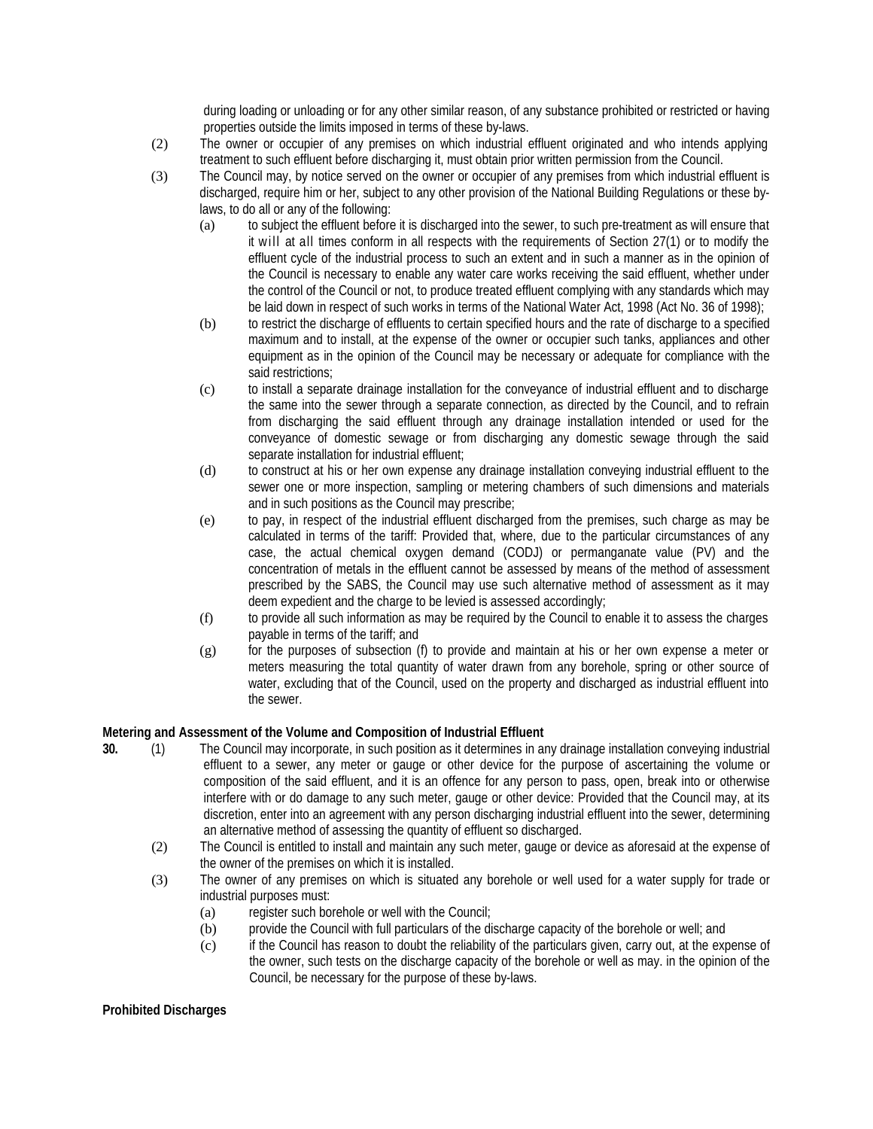during loading or unloading or for any other similar reason, of any substance prohibited or restricted or having properties outside the limits imposed in terms of these by-laws.

- (2) The owner or occupier of any premises on which industrial effluent originated and who intends applying treatment to such effluent before discharging it, must obtain prior written permission from the Council.
- (3) The Council may, by notice served on the owner or occupier of any premises from which industrial effluent is discharged, require him or her, subject to any other provision of the National Building Regulations or these bylaws, to do all or any of the following:
	- (a) to subject the effluent before it is discharged into the sewer, to such pre-treatment as will ensure that it will at all times conform in all respects with the requirements of Section 27(1) or to modify the effluent cycle of the industrial process to such an extent and in such a manner as in the opinion of the Council is necessary to enable any water care works receiving the said effluent, whether under the control of the Council or not, to produce treated effluent complying with any standards which may be laid down in respect of such works in terms of the National Water Act, 1998 (Act No. 36 of 1998);
	- (b) to restrict the discharge of effluents to certain specified hours and the rate of discharge to a specified maximum and to install, at the expense of the owner or occupier such tanks, appliances and other equipment as in the opinion of the Council may be necessary or adequate for compliance with the said restrictions;
	- (c) to install a separate drainage installation for the conveyance of industrial effluent and to discharge the same into the sewer through a separate connection, as directed by the Council, and to refrain from discharging the said effluent through any drainage installation intended or used for the conveyance of domestic sewage or from discharging any domestic sewage through the said separate installation for industrial effluent;
	- (d) to construct at his or her own expense any drainage installation conveying industrial effluent to the sewer one or more inspection, sampling or metering chambers of such dimensions and materials and in such positions as the Council may prescribe;
	- (e) to pay, in respect of the industrial effluent discharged from the premises, such charge as may be calculated in terms of the tariff: Provided that, where, due to the particular circumstances of any case, the actual chemical oxygen demand (CODJ) or permanganate value (PV) and the concentration of metals in the effluent cannot be assessed by means of the method of assessment prescribed by the SABS, the Council may use such alternative method of assessment as it may deem expedient and the charge to be levied is assessed accordingly;
	- (f) to provide all such information as may be required by the Council to enable it to assess the charges payable in terms of the tariff; and
	- (g) for the purposes of subsection (f) to provide and maintain at his or her own expense a meter or meters measuring the total quantity of water drawn from any borehole, spring or other source of water, excluding that of the Council, used on the property and discharged as industrial effluent into the sewer.

## **Metering and Assessment of the Volume and Composition of Industrial Effluent**

- **30.** (1) The Council may incorporate, in such position as it determines in any drainage installation conveying industrial effluent to a sewer, any meter or gauge or other device for the purpose of ascertaining the volume or composition of the said effluent, and it is an offence for any person to pass, open, break into or otherwise interfere with or do damage to any such meter, gauge or other device: Provided that the Council may, at its discretion, enter into an agreement with any person discharging industrial effluent into the sewer, determining an alternative method of assessing the quantity of effluent so discharged.
	- (2) The Council is entitled to install and maintain any such meter, gauge or device as aforesaid at the expense of the owner of the premises on which it is installed.
	- (3) The owner of any premises on which is situated any borehole or well used for a water supply for trade or industrial purposes must:
		- (a) register such borehole or well with the Council;
		- (b) provide the Council with full particulars of the discharge capacity of the borehole or well; and
		- (c) if the Council has reason to doubt the reliability of the particulars given, carry out, at the expense of the owner, such tests on the discharge capacity of the borehole or well as may. in the opinion of the Council, be necessary for the purpose of these by-laws.

## **Prohibited Discharges**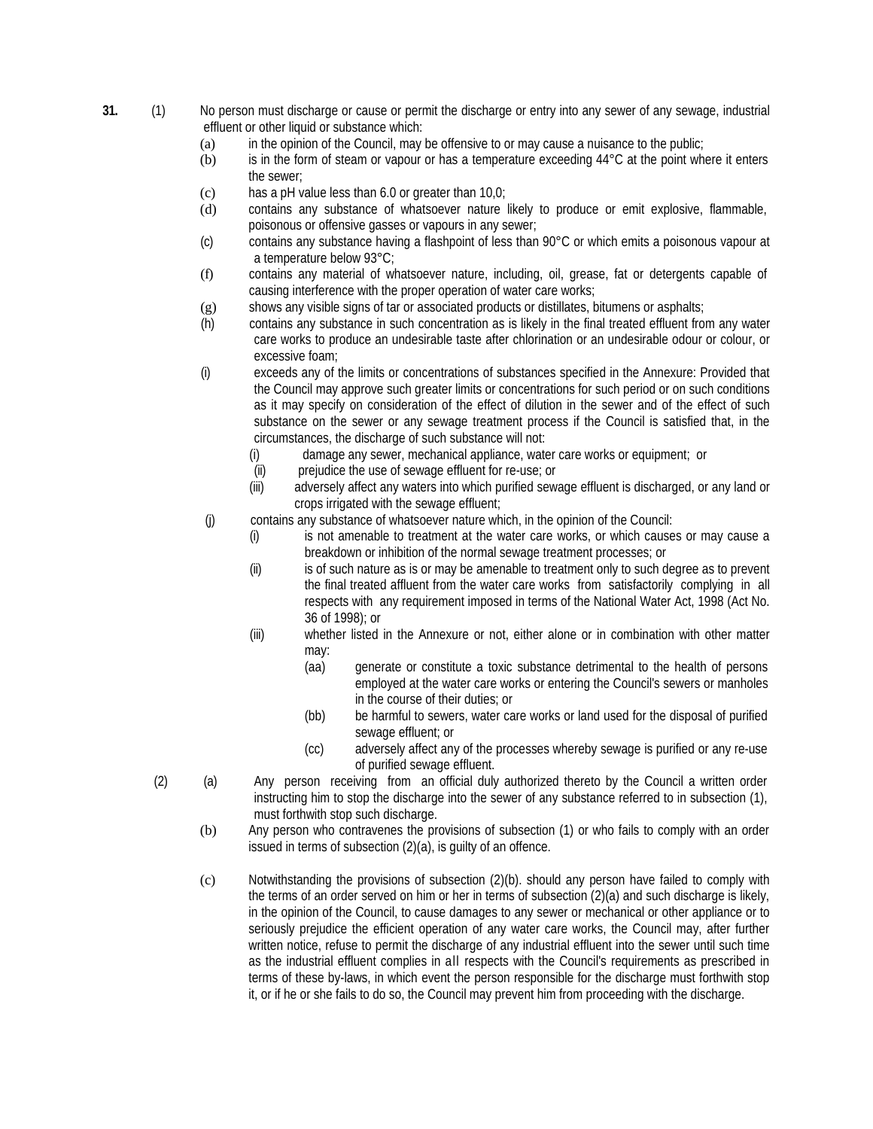- **31.** (1) No person must discharge or cause or permit the discharge or entry into any sewer of any sewage, industrial effluent or other liquid or substance which:
	- (a) in the opinion of the Council, may be offensive to or may cause a nuisance to the public;
	- (b) is in the form of steam or vapour or has a temperature exceeding 44°C at the point where it enters the sewer;
	- (c) has a pH value less than 6.0 or greater than 10,0;
	- (d) contains any substance of whatsoever nature likely to produce or emit explosive, flammable, poisonous or offensive gasses or vapours in any sewer;
	- (c) contains any substance having a flashpoint of less than 90°C or which emits a poisonous vapour at a temperature below 93°C;
	- (f) contains any material of whatsoever nature, including, oil, grease, fat or detergents capable of causing interference with the proper operation of water care works;
	- (g) shows any visible signs of tar or associated products or distillates, bitumens or asphalts;
	- (h) contains any substance in such concentration as is likely in the final treated effluent from any water care works to produce an undesirable taste after chlorination or an undesirable odour or colour, or excessive foam;
	- (i) exceeds any of the limits or concentrations of substances specified in the Annexure: Provided that the Council may approve such greater limits or concentrations for such period or on such conditions as it may specify on consideration of the effect of dilution in the sewer and of the effect of such substance on the sewer or any sewage treatment process if the Council is satisfied that, in the circumstances, the discharge of such substance will not:
		- (i) damage any sewer, mechanical appliance, water care works or equipment; or
		- (ii) prejudice the use of sewage effluent for re-use; or
		- (iii) adversely affect any waters into which purified sewage effluent is discharged, or any land or crops irrigated with the sewage effluent;
	- (j) contains any substance of whatsoever nature which, in the opinion of the Council:
		- (i) is not amenable to treatment at the water care works, or which causes or may cause a breakdown or inhibition of the normal sewage treatment processes; or
		- (ii) is of such nature as is or may be amenable to treatment only to such degree as to prevent the final treated affluent from the water care works from satisfactorily complying in all respects with any requirement imposed in terms of the National Water Act, 1998 (Act No. 36 of 1998); or
		- (iii) whether listed in the Annexure or not, either alone or in combination with other matter may:
			- (aa) generate or constitute a toxic substance detrimental to the health of persons employed at the water care works or entering the Council's sewers or manholes in the course of their duties; or
			- (bb) be harmful to sewers, water care works or land used for the disposal of purified sewage effluent; or
			- (cc) adversely affect any of the processes whereby sewage is purified or any re-use of purified sewage effluent.
	- (2) (a) Any person receiving from an official duly authorized thereto by the Council a written order instructing him to stop the discharge into the sewer of any substance referred to in subsection (1), must forthwith stop such discharge.
		- (b) Any person who contravenes the provisions of subsection (1) or who fails to comply with an order issued in terms of subsection (2)(a), is guilty of an offence.
		- (c) Notwithstanding the provisions of subsection (2)(b). should any person have failed to comply with the terms of an order served on him or her in terms of subsection (2)(a) and such discharge is likely, in the opinion of the Council, to cause damages to any sewer or mechanical or other appliance or to seriously prejudice the efficient operation of any water care works, the Council may, after further written notice, refuse to permit the discharge of any industrial effluent into the sewer until such time as the industrial effluent complies in all respects with the Council's requirements as prescribed in terms of these by-laws, in which event the person responsible for the discharge must forthwith stop it, or if he or she fails to do so, the Council may prevent him from proceeding with the discharge.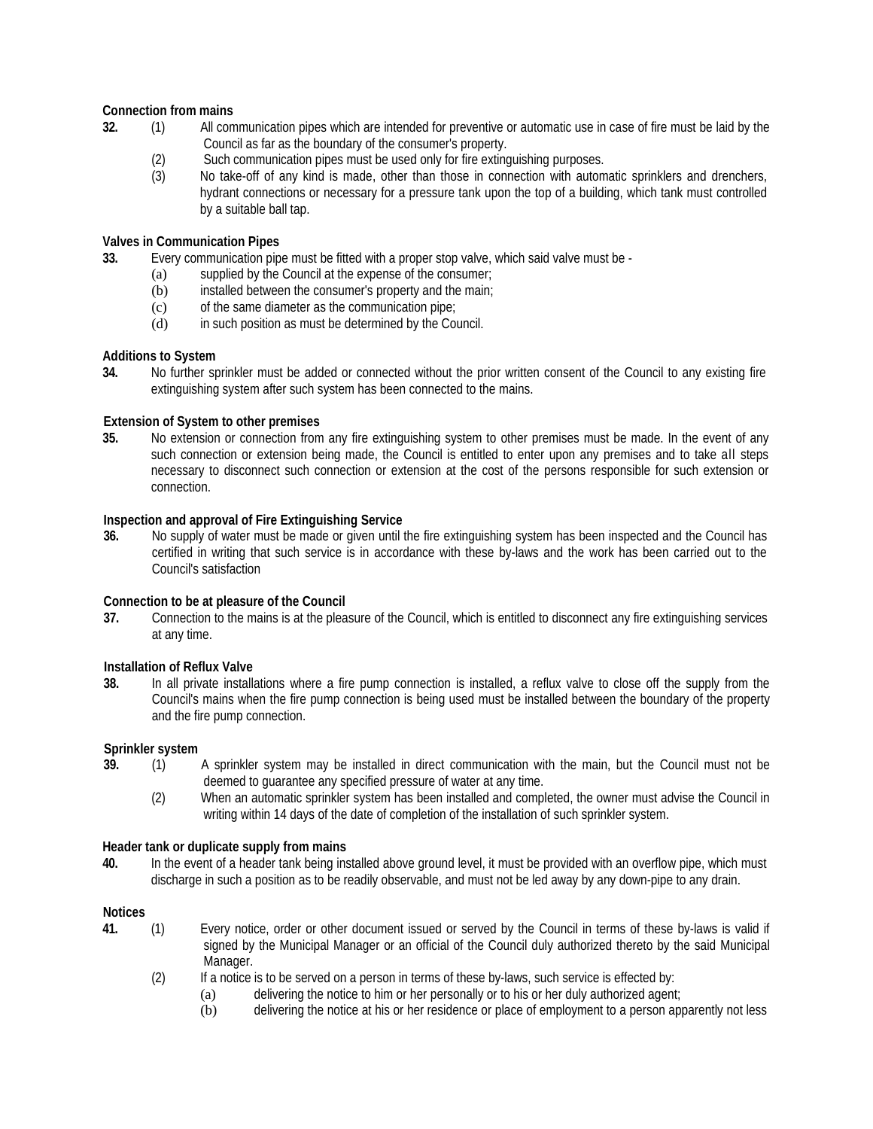## **Connection from mains**

- **32.** (1) All communication pipes which are intended for preventive or automatic use in case of fire must be laid by the Council as far as the boundary of the consumer's property.
	- (2) Such communication pipes must be used only for fire extinguishing purposes.<br>(3) No take-off of any kind is made, other than those in connection with autom
	- No take-off of any kind is made, other than those in connection with automatic sprinklers and drenchers, hydrant connections or necessary for a pressure tank upon the top of a building, which tank must controlled by a suitable ball tap.

## **Valves in Communication Pipes**

**33.** Every communication pipe must be fitted with a proper stop valve, which said valve must be -

- (a) supplied by the Council at the expense of the consumer;
- (b) installed between the consumer's property and the main;
- (c) of the same diameter as the communication pipe;
- (d) in such position as must be determined by the Council.

## **Additions to System**

**34.** No further sprinkler must be added or connected without the prior written consent of the Council to any existing fire extinguishing system after such system has been connected to the mains.

## **Extension of System to other premises**

**35.** No extension or connection from any fire extinguishing system to other premises must be made. In the event of any such connection or extension being made, the Council is entitled to enter upon any premises and to take all steps necessary to disconnect such connection or extension at the cost of the persons responsible for such extension or connection.

## **Inspection and approval of Fire Extinguishing Service**

**36.** No supply of water must be made or given until the fire extinguishing system has been inspected and the Council has certified in writing that such service is in accordance with these by-laws and the work has been carried out to the Council's satisfaction

## **Connection to be at pleasure of the Council**

**37.** Connection to the mains is at the pleasure of the Council, which is entitled to disconnect any fire extinguishing services at any time.

## **Installation of Reflux Valve**

**38.** In all private installations where a fire pump connection is installed, a reflux valve to close off the supply from the Council's mains when the fire pump connection is being used must be installed between the boundary of the property and the fire pump connection.

## **Sprinkler system**

- **39.** (1) A sprinkler system may be installed in direct communication with the main, but the Council must not be deemed to guarantee any specified pressure of water at any time.
	- (2) When an automatic sprinkler system has been installed and completed, the owner must advise the Council in writing within 14 days of the date of completion of the installation of such sprinkler system.

## **Header tank or duplicate supply from mains**

**40.** In the event of a header tank being installed above ground level, it must be provided with an overflow pipe, which must discharge in such a position as to be readily observable, and must not be led away by any down-pipe to any drain.

## **Notices**

- **41.** (1) Every notice, order or other document issued or served by the Council in terms of these by-laws is valid if signed by the Municipal Manager or an official of the Council duly authorized thereto by the said Municipal Manager.
	- $(2)$  If a notice is to be served on a person in terms of these by-laws, such service is effected by:
		- (a) delivering the notice to him or her personally or to his or her duly authorized agent;
		- (b) delivering the notice at his or her residence or place of employment to a person apparently not less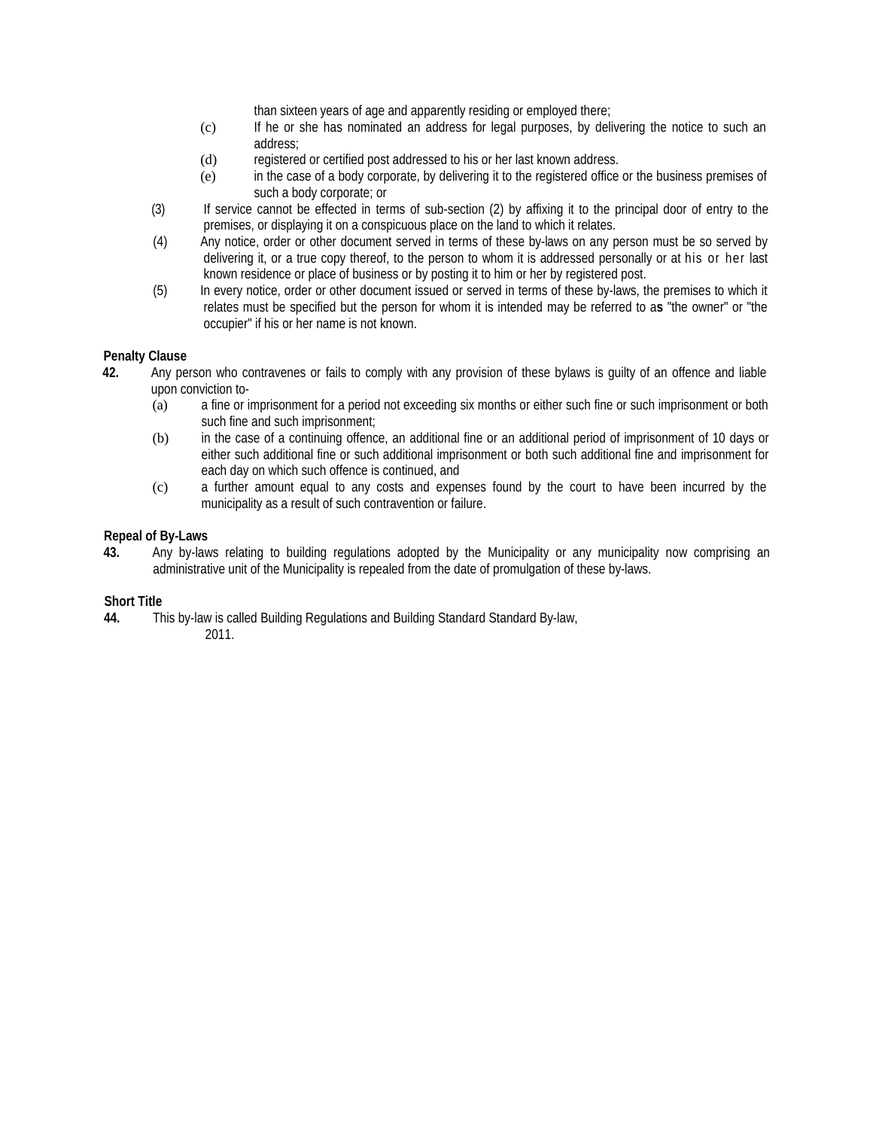than sixteen years of age and apparently residing or employed there;

- (c) If he or she has nominated an address for legal purposes, by delivering the notice to such an address;
- (d) registered or certified post addressed to his or her last known address.
- (e) in the case of a body corporate, by delivering it to the registered office or the business premises of such a body corporate; or
- (3) If service cannot be effected in terms of sub-section (2) by affixing it to the principal door of entry to the premises, or displaying it on a conspicuous place on the land to which it relates.
- (4) Any notice, order or other document served in terms of these by-laws on any person must be so served by delivering it, or a true copy thereof, to the person to whom it is addressed personally or at his or her last known residence or place of business or by posting it to him or her by registered post.
- (5) In every notice, order or other document issued or served in terms of these by-laws, the premises to which it relates must be specified but the person for whom it is intended may be referred to a**s** "the owner" or "the occupier" if his or her name is not known.

## **Penalty Clause**

- **42.** Any person who contravenes or fails to comply with any provision of these bylaws is guilty of an offence and liable upon conviction to-
	- (a) a fine or imprisonment for a period not exceeding six months or either such fine or such imprisonment or both such fine and such imprisonment;
	- (b) in the case of a continuing offence, an additional fine or an additional period of imprisonment of 10 days or either such additional fine or such additional imprisonment or both such additional fine and imprisonment for each day on which such offence is continued, and
	- (c) a further amount equal to any costs and expenses found by the court to have been incurred by the municipality as a result of such contravention or failure.

## **Repeal of By-Laws**

**43.** Any by-laws relating to building regulations adopted by the Municipality or any municipality now comprising an administrative unit of the Municipality is repealed from the date of promulgation of these by-laws.

## **Short Title**

**44.** This by-law is called Building Regulations and Building Standard Standard By-law, 2011.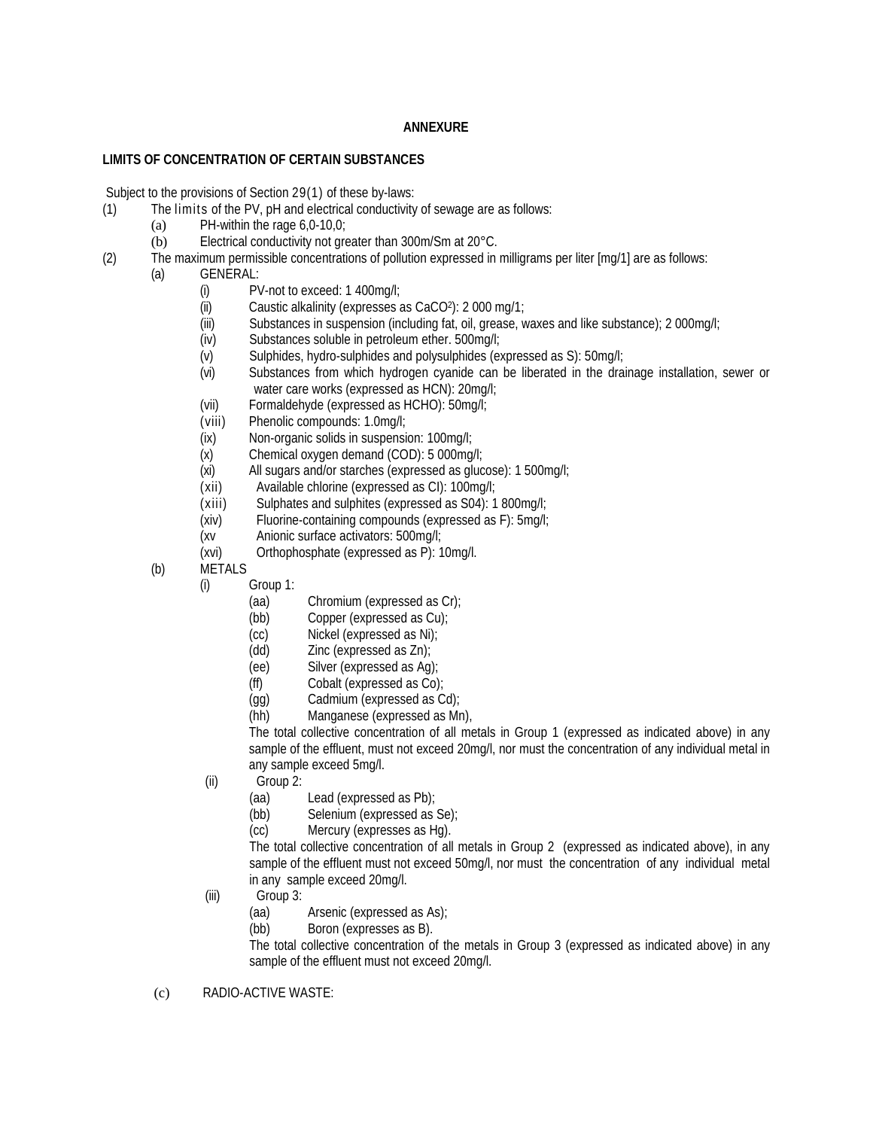## **ANNEXURE**

## **LIMITS OF CONCENTRATION OF CERTAIN SUBSTANCES**

Subject to the provisions of Section 29(1) of these by-laws:

- (1) The limits of the PV, pH and electrical conductivity of sewage are as follows:
	- (a) PH-within the rage  $6,0-10,0;$
	- (b) Electrical conductivity not greater than 300m/Sm at 20°C.
- (2) The maximum permissible concentrations of pollution expressed in milligrams per liter [mg/1] are as follows:
	- (a) GENERAL:
		- (i) PV-not to exceed: 1 400mg/l;<br>(ii) Caustic alkalinity (expresses a
		- Caustic alkalinity (expresses as CaCO2): 2 000 mg/1;
		- (iii) Substances in suspension (including fat, oil, grease, waxes and like substance); 2 000mg/l;
		- (iv) Substances soluble in petroleum ether. 500mg/l;
		- (v) Sulphides, hydro-sulphides and polysulphides (expressed as S): 50mg/l;
		- (vi) Substances from which hydrogen cyanide can be liberated in the drainage installation, sewer or water care works (expressed as HCN): 20mg/l;
		- (vii) Formaldehyde (expressed as HCHO): 50mg/l;
		- (viii) Phenolic compounds: 1.0mg/l;
		- (ix) Non-organic solids in suspension: 100mg/l;<br>(x) Chemical oxygen demand (COD): 5 000mg
		- Chemical oxygen demand (COD): 5 000mg/l;
		- (xi) All sugars and/or starches (expressed as glucose): 1 500mg/l;
		- (xii) Available chlorine (expressed as CI): 100mg/l;
		- $(xiii)$  Sulphates and sulphites (expressed as S04): 1 800mg/l;
		- (xiv) Fluorine-containing compounds (expressed as F): 5mg/l;
		- (xv Anionic surface activators: 500mg/l;
		- (xvi) Orthophosphate (expressed as P): 10mg/l.
		- (b) METALS
			- (i) Group 1:
				- (aa) Chromium (expressed as Cr);
				- (bb) Copper (expressed as Cu);
				- (cc) Nickel (expressed as Ni);
				-
				- (dd) Zinc (expressed as Zn);<br>(ee) Silver (expressed as Aq) Silver (expressed as Ag);
				- (ff) Cobalt (expressed as Co);
				- (gg) Cadmium (expressed as Cd);
				- (hh) Manganese (expressed as Mn),

The total collective concentration of all metals in Group 1 (expressed as indicated above) in any sample of the effluent, must not exceed 20mg/l, nor must the concentration of any individual metal in any sample exceed 5mg/l.

- (ii) Group 2:
	- (aa) Lead (expressed as Pb);
	- (bb) Selenium (expressed as Se);<br>(cc) Mercury (expresses as Hq).
	- Mercury (expresses as Hg).

The total collective concentration of all metals in Group 2 (expressed as indicated above), in any sample of the effluent must not exceed 50mg/l, nor must the concentration of any individual metal in any sample exceed 20mg/l.

- (iii) Group 3:
	- (aa) Arsenic (expressed as As);
	- (bb) Boron (expresses as B).

The total collective concentration of the metals in Group 3 (expressed as indicated above) in any sample of the effluent must not exceed 20mg/l.

(c) RADIO-ACTIVE WASTE: